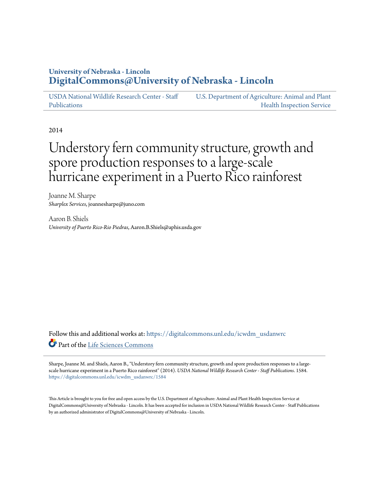# **University of Nebraska - Lincoln [DigitalCommons@University of Nebraska - Lincoln](https://digitalcommons.unl.edu?utm_source=digitalcommons.unl.edu%2Ficwdm_usdanwrc%2F1584&utm_medium=PDF&utm_campaign=PDFCoverPages)**

[USDA National Wildlife Research Center - Staff](https://digitalcommons.unl.edu/icwdm_usdanwrc?utm_source=digitalcommons.unl.edu%2Ficwdm_usdanwrc%2F1584&utm_medium=PDF&utm_campaign=PDFCoverPages) [Publications](https://digitalcommons.unl.edu/icwdm_usdanwrc?utm_source=digitalcommons.unl.edu%2Ficwdm_usdanwrc%2F1584&utm_medium=PDF&utm_campaign=PDFCoverPages) [U.S. Department of Agriculture: Animal and Plant](https://digitalcommons.unl.edu/usdaaphis?utm_source=digitalcommons.unl.edu%2Ficwdm_usdanwrc%2F1584&utm_medium=PDF&utm_campaign=PDFCoverPages) [Health Inspection Service](https://digitalcommons.unl.edu/usdaaphis?utm_source=digitalcommons.unl.edu%2Ficwdm_usdanwrc%2F1584&utm_medium=PDF&utm_campaign=PDFCoverPages)

2014

# Understory fern community structure, growth and spore production responses to a large-scale hurricane experiment in a Puerto Rico rainforest

Joanne M. Sharpe *Sharplex Services*, joannesharpe@juno.com

Aaron B. Shiels *University of Puerto Rico-Rio Piedras*, Aaron.B.Shiels@aphis.usda.gov

Follow this and additional works at: [https://digitalcommons.unl.edu/icwdm\\_usdanwrc](https://digitalcommons.unl.edu/icwdm_usdanwrc?utm_source=digitalcommons.unl.edu%2Ficwdm_usdanwrc%2F1584&utm_medium=PDF&utm_campaign=PDFCoverPages) Part of the [Life Sciences Commons](http://network.bepress.com/hgg/discipline/1016?utm_source=digitalcommons.unl.edu%2Ficwdm_usdanwrc%2F1584&utm_medium=PDF&utm_campaign=PDFCoverPages)

Sharpe, Joanne M. and Shiels, Aaron B., "Understory fern community structure, growth and spore production responses to a largescale hurricane experiment in a Puerto Rico rainforest" (2014). *USDA National Wildlife Research Center - Staff Publications*. 1584. [https://digitalcommons.unl.edu/icwdm\\_usdanwrc/1584](https://digitalcommons.unl.edu/icwdm_usdanwrc/1584?utm_source=digitalcommons.unl.edu%2Ficwdm_usdanwrc%2F1584&utm_medium=PDF&utm_campaign=PDFCoverPages)

This Article is brought to you for free and open access by the U.S. Department of Agriculture: Animal and Plant Health Inspection Service at DigitalCommons@University of Nebraska - Lincoln. It has been accepted for inclusion in USDA National Wildlife Research Center - Staff Publications by an authorized administrator of DigitalCommons@University of Nebraska - Lincoln.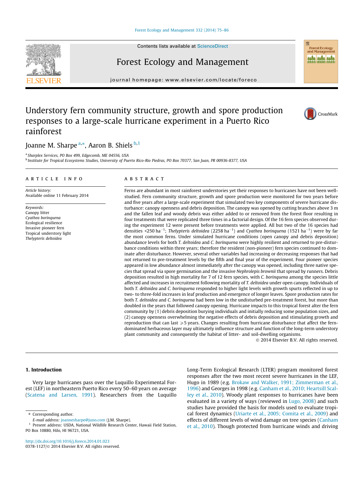#### [Forest Ecology and Management 332 \(2014\) 75–86](http://dx.doi.org/10.1016/j.foreco.2014.01.023)

Contents lists available at [ScienceDirect](http://www.sciencedirect.com/science/journal/03781127)

# Forest Ecology and Management

journal homepage: [www.elsevier.com/locate/foreco](http://www.elsevier.com/locate/foreco)

# Understory fern community structure, growth and spore production responses to a large-scale hurricane experiment in a Puerto Rico rainforest

# Joanne M. Sharpe <sup>a,</sup>\*, Aaron B. Shiels <sup>b,1</sup>

<sup>a</sup> Sharplex Services, PO Box 499, Edgecomb, ME 04556, USA <sup>b</sup> Institute for Tropical Ecosystems Studies, University of Puerto Rico-Rio Piedras, PO Box 70377, San Juan, PR 00936-8377, USA

#### article info

Article history: Available online 11 February 2014

Keywords: Canopy litter Cyathea borinquena Ecological resilience Invasive pioneer fern Tropical understory light Thelypteris deltoidea

# **ABSTRACT**

Ferns are abundant in most rainforest understories yet their responses to hurricanes have not been wellstudied. Fern community structure, growth and spore production were monitored for two years before and five years after a large-scale experiment that simulated two key components of severe hurricane disturbance: canopy openness and debris deposition. The canopy was opened by cutting branches above 3 m and the fallen leaf and woody debris was either added to or removed from the forest floor resulting in four treatments that were replicated three times in a factorial design. Of the 16 fern species observed during the experiment 12 were present before treatments were applied. All but two of the 16 species had densities <250 ha<sup>-1</sup>; Thelypteris deltoidea (2258 ha<sup>-1</sup>) and Cyathea borinquena (1521 ha<sup>-1</sup>) were by far the most common ferns. Under simulated hurricane conditions (open canopy and debris deposition) abundance levels for both T. deltoidea and C. borinquena were highly resilient and returned to pre-disturbance conditions within three years; therefore the resident (non-pioneer) fern species continued to dominate after disturbance. However, several other variables had increasing or decreasing responses that had not returned to pre-treatment levels by the fifth and final year of the experiment. Four pioneer species appeared in low abundance almost immediately after the canopy was opened, including three native species that spread via spore germination and the invasive Nephrolepis brownii that spread by runners. Debris deposition resulted in high mortality for 7 of 12 fern species, with C. borinquena among the species little affected and increases in recruitment following mortality of T. deltoidea under open canopy. Individuals of both T. deltoidea and C. borinquena responded to higher light levels with growth spurts reflected in up to two- to three-fold increases in leaf production and emergence of longer leaves. Spore production rates for both T. deltoidea and C. borinquena had been low in the undisturbed pre-treatment forest, but more than doubled in the years that followed canopy opening. Hurricane impacts to this tropical forest alter the fern community by (1) debris deposition burying individuals and initially reducing some population sizes, and (2) canopy openness overwhelming the negative effects of debris deposition and stimulating growth and reproduction that can last  $\geq$ 5 years. Changes resulting from hurricane disturbance that affect the ferndominated herbaceous layer may ultimately influence structure and function of the long-term understory plant community and consequently the habitat of litter- and soil-dwelling organisms.

- 2014 Elsevier B.V. All rights reserved.

# 1. Introduction

Very large hurricanes pass over the Luquillo Experimental Forest (LEF) in northeastern Puerto Rico every 50–60 years on average ([Scatena and Larsen, 1991\)](#page-11-0). Researchers from the Luquillo Long-Term Ecological Research (LTER) program monitored forest responses after the two most recent severe hurricanes in the LEF, Hugo in 1989 (e.g. [Brokaw and Walker, 1991; Zimmerman et al.,](#page-10-0) [1996\)](#page-10-0) and Georges in 1998 (e.g. [Canham et al., 2010; Heartsill Scal](#page-10-0)[ley et al., 2010\)](#page-10-0). Woody plant responses to hurricanes have been evaluated in a variety of ways (reviewed in [Lugo, 2008](#page-11-0)) and such studies have provided the basis for models used to evaluate tropical forest dynamics ([Uriarte et al., 2005; Comita et al., 2009\)](#page-11-0) and effects of different levels of wind damage on tree species ([Canham](#page-10-0) [et al., 2010](#page-10-0)). Though protected from hurricane winds and driving







E-mail address: [joannesharpe@juno.com](mailto:joannesharpe@juno.com) (J.M. Sharpe).

<sup>&</sup>lt;sup>1</sup> Present address: USDA, National Wildlife Research Center, Hawaii Field Station, PO Box 10880, Hilo, HI 96721, USA.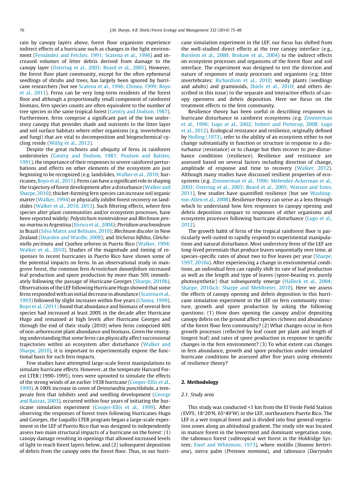rain by canopy layers above, forest floor organisms experience indirect effects of a hurricane such as changes in the light environment ([Fernández and Fetcher, 1991; Scatena et al., 1996](#page-11-0)) and increased volumes of litter debris derived from damage to the canopy layer ([Ostertag et al., 2003; Beard et al., 2005\)](#page-11-0). However, the forest floor plant community, except for the often ephemeral seedlings of shrubs and trees, has largely been ignored by hurricane researchers (but see [Scatena et al., 1996; Chinea, 1999; Royo](#page-11-0) [et al., 2011](#page-11-0)). Ferns can be very long-term residents of the forest floor and although a proportionally small component of rainforest biomass, fern species counts are often equivalent to the number of tree species in the same tropical forest ([Gentry and Dodson, 1987\)](#page-11-0). Furthermore, ferns comprise a significant part of the low understory canopy that provides shade and nutrients to the litter layer and soil surface habitats where other organisms (e.g. invertebrates and fungi) that are vital to decomposition and biogeochemical cycling reside [\(Willig et al., 2012\)](#page-12-0).

Despite the great richness and ubiquity of ferns in rainforest understories [\(Gentry and Dodson, 1987; Poulsen and Balslev,](#page-11-0) [1991\)](#page-11-0), the importance of their responses to severe rainforest perturbations and effects on other elements of the ecosystem are just beginning to be recognized (e.g. landslides, [Walker et al., 2010;](#page-12-0) hurricanes, [Royo et al., 2011](#page-11-0)). Ferns can have a significant role in shaping the trajectory of forest development after a disturbance ([Walker and](#page-11-0) [Sharpe, 2010\)](#page-11-0); thicket-forming fern species can increase soil organic matter [\(Walker, 1994](#page-11-0)) or physically inhibit forest recovery on landslides [\(Walker et al., 2010, 2013\)](#page-12-0). Such filtering effects, where fern species alter plant communities and/or ecosystem processes, have been reported widely: Polystichum montevidense and Blechnum penna-marina in Argentina ([Enrico et al., 2004\)](#page-11-0); Pteridium arachnoideum in Brazil [\(Silva Matos and Belinato, 2010\)](#page-11-0); Blechnum discolor in New Zealand [\(Dearden and Wardle, 2008\)](#page-11-0); and Sticherus bifidus, Gleicheniella pectinata and Cyathea arborea in Puerto Rico ([Walker, 1994;](#page-11-0) [Walker et al., 2010\)](#page-11-0). Studies of the magnitude and timing of responses to recent hurricanes in Puerto Rico have shown some of the potential impacts on ferns. In an observational study in mangrove forest, the common fern Acrostichum danaeifolium increased leaf production and spore production by more than 50% immediately following the passage of Hurricane Georges ([Sharpe, 2010b\)](#page-11-0). Observations of the LEF following Hurricane Hugo showed that some ferns responded with an initial decrease in abundance [\(Scatena et al.,](#page-11-0) [1993\)](#page-11-0) followed by slight increases within five years [\(Chinea, 1999\)](#page-10-0). [Royo et al. \(2011\)](#page-11-0) found that abundance and biomass of several fern species had increased at least 200% in the decade after Hurricane Hugo and remained at high levels after Hurricane Georges and through the end of their study (2010) when ferns comprised 60% of non-arborescent plant abundance and biomass. Given the emerging understanding that some ferns can physically affect successional trajectories within an ecosystem after disturbance [\(Walker and](#page-11-0) [Sharpe, 2010](#page-11-0)), it is important to experimentally expose the functional basis for such fern impacts.

Few studies have attempted large-scale forest manipulations to simulate hurricane effects. However, at the temperate Harvard Forest LTER (1990–1995), trees were uprooted to simulate the effects of the strong winds of an earlier 1938 hurricane [\(Cooper-Ellis et al.,](#page-11-0) [1999\)](#page-11-0). A 100% increase in cover of Dennstaedtia punctilobula, a temperate fern that inhibits seed and seedling development [\(George](#page-11-0) [and Bazzaz, 2003\)](#page-11-0), occurred within four years of initiating the hurricane simulation experiment ([Cooper-Ellis et al., 1999](#page-11-0)). After observing the responses of forest trees following Hurricanes Hugo and Georges, the Luquillo LTER program began a large-scale experiment in the LEF of Puerto Rico that was designed to independently assess two main structural impacts of a hurricane on the forest: (1) canopy damage resulting in openings that allowed increased levels of light to reach forest layers below, and (2) subsequent deposition of debris from the canopy onto the forest floor. Thus, in our hurricane simulation experiment in the LEF, our focus has shifted from the well-studied direct effects at the tree canopy interface (e.g., [Burslem et al., 2000; Brokaw et al., 2004](#page-10-0)) to the indirect effects on ecosystem processes and organisms of the forest floor and soil interface. The experiment was designed to test the direction and nature of responses of many processes and organisms (e.g. litter invertebrates: [Richardson et al., 2010](#page-11-0); woody plants (seedlings and adults) and graminoids, [Shiels et al., 2010](#page-11-0); and others described in this issue) to the separate and interactive effects of canopy openness and debris deposition. Here we focus on the treatment effects to the fern community.

Resilience theory has been useful in describing responses to hurricane disturbance in rainforest ecosystems (e.g. [Zimmerman](#page-12-0) [et al., 1996; Lugo et al., 2002; Imbert and Portecop, 2008; Lugo](#page-12-0) [et al., 2012\)](#page-12-0). Ecological resistance and resilience, originally defined by [Holling \(1973\)](#page-11-0), refer to the ability of an ecosystem either to not change substantially in function or structure in response to a disturbance (resistance) or to change but then recover to pre-disturbance conditions (resilience). Resilience and resistance are assessed based on several factors including direction of change, amplitude of response and time to recovery [\(Walker, 2012\)](#page-11-0). Although many studies have discussed resilient properties of ecosystems (e.g. [Zimmerman et al., 1996; Melendez-Ackerman et al.,](#page-12-0) [2003; Ostertag et al., 2003; Beard et al., 2005; Watson and Estes,](#page-12-0) [2011\)](#page-12-0), few studies have quantified resilience (but see [Washing](#page-12-0)[ton-Allen et al., 2008\)](#page-12-0). Resilience theory can serve as a lens through which to understand how fern responses to canopy opening and debris deposition compare to responses of other organisms and ecosystem processes following hurricane disturbance [\(Lugo et al.,](#page-11-0) [2012\)](#page-11-0).

The growth habit of ferns of the tropical rainforest floor is particularly well-suited to rapidly respond to experimental manipulations and natural disturbance. Most understory ferns of the LEF are long-lived perennials that produce leaves sequentially over time, at species-specific rates of about two to five leaves per year [\(Sharpe,](#page-11-0) [1997, 2010a\)](#page-11-0). After experiencing a change in environmental conditions, an individual fern can rapidly shift its rate of leaf production as well as the length and type of leaves (spore-bearing vs. purely photosynthetic) that subsequently emerge ([Halleck et al., 2004;](#page-11-0) [Sharpe, 2010a,b; Sharpe and Mehltreter, 2010](#page-11-0)). Here we assess the effects of canopy opening and debris deposition in this hurricane simulation experiment in the LEF on fern community structure, growth and spore production by asking the following questions: (1) How does opening the canopy and/or depositing canopy debris on the ground affect species richness and abundance of the forest floor fern community? (2) What changes occur in fern growth processes (reflected by leaf count per plant and length of longest leaf) and rates of spore production in response to specific changes in the fern environment? (3) To what extent can changes in fern abundance, growth and spore production under simulated hurricane conditions be assessed after five years using elements of resilience theory?

# 2. Methodology

#### 2.1. Study area

This study was conducted <1 km from the El Verde Field Station (EVFS; 18°20'N, 65°49'W) in the LEF, northeastern Puerto Rico. The LEF is a wet tropical forest and is divided into four general vegetation zones along an altitudinal gradient. The study site was located in mature forest in the lowermost and dominant vegetation zone, the tabonuco forest (subtropical wet forest in the Holdridge System; [Ewel and Whitmore, 1973](#page-11-0)), where motillo (Sloanea berteriana), sierra palm (Prestoea montana), and tabonuco (Dacryodes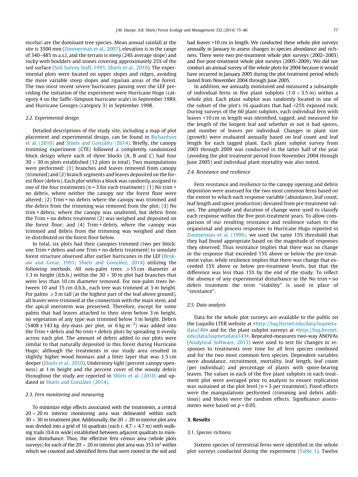excelsa) are the dominant tree species. Mean annual rainfall at the site is 3500 mm [\(Zimmerman et al., 2007\)](#page-12-0), elevation is in the range of 340–485 m a.s.l, and the terrain is steep (24% average slope) and rocky with boulders and stones covering approximately 25% of the soil surface [\(Soil Survey Staff, 1995; Shiels et al., 2010\)](#page-11-0). The experimental plots were located on upper slopes and ridges, avoiding the more variable steep slopes and riparian areas of the forest. The two most recent severe hurricanes passing over the LEF preceding the initiation of the experiment were Hurricane Hugo (category 4 on the Saffir–Simpson hurricane scale) in September 1989, and Hurricane Georges (category 3) in September 1998.

# 2.2. Experimental design

Detailed descriptions of the study site, including a map of plot placement and experimental design, can be found in [Richardson](#page-11-0) [et al. \(2010\)](#page-11-0) and [Shiels and González \(2014\)](#page-11-0). Briefly, the canopy trimming experiment (CTE) followed a completely randomized block design where each of three blocks (A, B and C) had four  $30 \times 30$  m plots established (12 plots in total). Two manipulations were performed: (1) branches and leaves removed from canopy (trimmed) and (2) branch segments and leaves deposited on the forest floor (debris). Each plot within a block was randomly assigned to one of the four treatments ( $n = 3$  for each treatment): (1) No trim + no debris, where neither the canopy nor the forest floor were altered; (2) Trim + no debris where the canopy was trimmed and the debris from the trimming was removed from the plot; (3) No trim + debris, where the canopy was unaltered, but debris from the Trim + no debris treatment (2) was weighed and deposited on the forest floor; and (4) Trim + debris, where the canopy was trimmed and debris from the trimming was weighed and then re-distributed on the forest floor below.

In total, six plots had their canopies trimmed (two per block: one Trim + debris and one Trim + no debris treatment) to simulate forest structure observed after earlier hurricanes in the LEF ([Brok](#page-10-0)[aw and Grear, 1991](#page-10-0); [Shiels and González, 2014](#page-11-0)) utilizing the following methods. All non-palm trees  $\geq 15$  cm diameter at 1.3 m height (d.b.h.) within the  $30 \times 30$  m plot had branches that were less than 10 cm diameter removed. For non-palm trees between 10 and 15 cm d.b.h., each tree was trimmed at 3 m height. For palms  $\geq 3$  m tall (at the highest part of the leaf above ground), all leaves were trimmed at the connection with the main stem, and the apical meristem was preserved. Therefore, except for some palms that had leaves attached to their stem below 3 m height, no vegetation of any type was trimmed below 3 m height. Debris  $(5408 \pm 143 \text{ kg}$  dry-mass per plot, or 6 kg m<sup>-2</sup>) was added into the Trim + debris and No trim + debris plots by spreading it evenly across each plot. The amount of debris added to our plots were similar to that naturally deposited in this forest during Hurricane Hugo; although the treatments in our study area resulted in slightly higher wood biomass and a litter layer that was 1.5 cm deeper [\(Shiels et al., 2010](#page-11-0)). Understory light (percent canopy openness) at 1 m height and the percent cover of the woody debris throughout the study are reported in [Shiels et al. \(2010\)](#page-11-0) and updated in [Shiels and González \(2014\).](#page-11-0)

#### 2.3. Fern monitoring and measuring

To minimize edge effects associated with the treatments, a central  $20 \times 20$  m interior monitoring area was delineated within each  $30 \times 30$  m treatment plot. Additionally, the  $20 \times 20$  m interior plot area was divided into a grid of 16 quadrats (each c.  $4.7 \times 4.7$  m) with walking trails (0.4 m wide) established between adjacent quadrats to minimize disturbance. Thus, the effective fern census area (whole plots surveys) for each of the 20  $\times$  20 m interior plot area was 353 m<sup>2</sup> within which we counted and identified ferns that were rooted in the soil and had leaves >10 cm in length. We conducted these whole plot surveys annually in January to assess changes in species abundance and richness. There were two pre-treatment whole plot surveys (2002–2003) and five post-treatment whole plot surveys (2005–2009). We did not conduct an annual survey of the whole plots for 2004 because it would have occurred in January 2005 during the plot treatment period which lasted from November 2004 through June 2005.

In addition, we annually monitored and measured a subsample of individual ferns in five plant subplots  $(1.0 \times 3.5 \text{ m})$  within a whole plot. Each plant subplot was randomly located in one of the subset of the plot's 16 quadrats that had <25% exposed rock. During surveys of the 60 plant subplots, each individual fern with leaves >10 cm in length was identified, tagged, and measured for the length of the longest leaf and whether or not it had spores, and number of leaves per individual. Changes in plant size (growth) were evaluated annually based on leaf count and leaf length for each tagged plant. Each plant subplot survey from 2003 through 2009 was conducted in the latter half of the year (avoiding the plot treatment period from November 2004 through June 2005) and individual plant mortality was also noted.

# 2.4. Resistance and resilience

Fern resistance and resilience to the canopy opening and debris deposition were assessed for the two most common ferns based on the extent to which each response variable (abundance, leaf count, leaf length and spore production) deviated from pre-treatment values. The amplitude and duration of change were used to classify each response within the five post-treatment years. To allow comparison of our resulting resistance and resilience values to the organismal and process responses to Hurricane Hugo reported in [Zimmerman et al. \(1996\),](#page-12-0) we used the same 15% threshold that they had found appropriate based on the magnitude of responses they observed. Thus resistance implies that there was no change in the response that exceeded 15% above or below the pre-treatment value, while resilience implies that there was change that exceeded 15% above or below pre-treatment levels, but that the difference was less than 15% by the end of the study. To reflect the absence of any experimental disturbance in the No trim + no debris treatment the term ''stability'' is used in place of ''resistance''.

### 2.5. Data analysis

Data for the whole plot surveys are available to the public on the Luquillo LTER website at <[http://luq.lternet.edu/data/luqmeta](http://luq.lternet.edu/data/luqmetadata146)[data146](http://luq.lternet.edu/data/luqmetadata146)> and for the plant subplot surveys at <[http://luq.lternet.](http://luq.lternet.edu/data/luqmetadata143) [edu/data/luqmetadata143>](http://luq.lternet.edu/data/luqmetadata143). Repeated-measures two-way ANOVAs ([Analytical Software, 2013\)](#page-10-0) were used to test for changes in responses to treatments over time for all fern species combined and for the two most common fern species. Dependent variables were abundance, recruitment, mortality, leaf length, leaf count (per individual) and percentage of plants with spore-bearing leaves. The values in each of the five plant subplots in each treatment plot were averaged prior to analysis to ensure replication was sustained at the plot level ( $n = 3$  per treatment). Fixed effects were the manipulations performed (trimming and debris additions) and blocks were the random effects. Significance assessments were based on  $p < 0.05$ .

### 3. Results

#### 3.1. Species richness

Sixteen species of terrestrial ferns were identified in the whole plot surveys conducted during the experiment ([Table 1](#page-4-0)). Twelve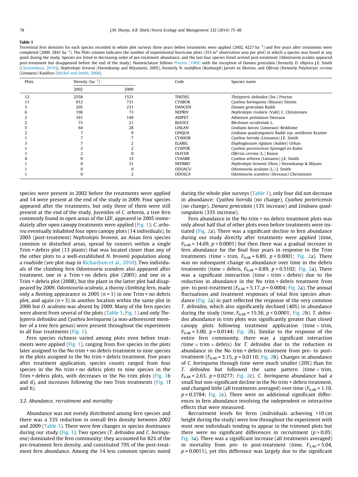#### <span id="page-4-0"></span>Table 1

Terrestrial fern densities for each species recorded in whole plot surveys three years before treatments were applied (2002, 4227 ha<sup>-1</sup>) and five years after treatments were completed (2009, 2841 ha<sup>-1</sup>). The Plots column indicates the number of experimental hurricane plots (353 m<sup>2</sup> observation area per plot) in which a species was found at any point during the study. Species are listed in decreasing order of pre-treatment abundance, and the last four species listed arrived post-treatment (Odontosoria aculata appeared post-treatment but disappeared before the end of the study). Nomenclature follows [Proctor \(1989\)](#page-11-0) with the exception of Danaea geniculata (formerly D. elliptica J.E. Smith [\(Christenhusz, 2010](#page-11-0))), Nephrolepis brownii (Hovenkamp and Miyamoto, 2005), formerly N. multiflora (Roxburgh) Jarrett ex Morton, and Olfersia (formerly Polybotrya) cervina (Linnaeus) Kaulfuss [\(Mickel and Smith, 2004\)](#page-11-0).

| Plots | Density $(ha^{-1})$ |      | Code          | Species name                                          |
|-------|---------------------|------|---------------|-------------------------------------------------------|
|       | 2002                | 2009 |               |                                                       |
| 12    | 2558                | 1521 | THEDEL        | Thelypteris deltoidea (Sw.) Proctor                   |
|       | 912                 | 731  | <b>CYABOR</b> | Cyathea boringuena (Maxon) Domin                      |
|       | 205                 | 231  | <b>DANGEN</b> | Danaea geniculata Raddi                               |
|       | 196                 | 73   | <b>NEPRIV</b> | Nephrolepis rivularis (Vahl) C. Christensen           |
|       | 191                 | 149  | <b>ADIPET</b> | Adiantum petiolatum Desvaux                           |
|       | 75                  | 21   | <b>BLEOCC</b> | Blechnum occidentale L.                               |
|       | 64                  | 28   | LINLAN        | Lindsaea lancea (Linneaus) Beddome                    |
|       |                     | q    | LINOUA        | Lindsaea quadrangularis Raddi ssp. antillensis Kramer |
|       |                     |      | <b>CYAHOR</b> | Cyathea horrida (Linnaeus) J.E. Smith                 |
|       |                     |      | <b>ELARIG</b> | Elaphoglossum rigidum (Aublet) Urban                  |
|       |                     |      | <b>CYAPOR</b> | Cyathea portoricensis Sprengel ex Kuhn                |
|       |                     |      | <b>OLFCER</b> | Olfersia cervina (L.) Kunze                           |
|       |                     | 33   | <b>CYAARB</b> | Cyathea arborea (Linnaeus) J.E. Smith                 |
|       |                     | 31   | <b>NEPBRO</b> | Nephrolepis brownii (Desv.) Hovenkamp & Miyam         |
|       |                     |      | <b>ODOACU</b> | Odontosoria aculeata (L.) J. Smith                    |
|       |                     |      | <b>ODOSCA</b> | Odontosoria scandens (Desvaux) Christensen            |

species were present in 2002 before the treatments were applied and 14 were present at the end of the study in 2009. Four species appeared after the treatments, but only three of them were still present at the end of the study. Juveniles of C. arborea, a tree fern commonly found in open areas of the LEF, appeared in 2005 immediately after open canopy treatments were applied ([Fig. 1\)](#page-5-0); C. arborea eventually inhabited four open canopy plots (14 individuals). In 2005 (post-treatment) Nephrolepis brownii, an Asian fern species common in disturbed areas, spread by runners within a single Trim + debris plot (13 plants) that was located closer than any of the other plots to a well-established N. brownii population along a roadside (see plot map in [Richardson et al., 2010](#page-11-0)). Two individuals of the climbing fern Odontosoria scandens also appeared after treatment, one in a Trim + no debris plot (2005) and one in a Trim + debris plot (2008), but the plant in the latter plot had disappeared by 2009. Odontosoria aculeata, a thorny climbing fern, made only a fleeting appearance in 2005  $(n = 1)$  in one Trim + no debris plot, and again  $(n = 3)$  in another location within the same plot in 2006 but O. aculeata was absent by 2009. Many of the fern species were absent from several of the plots (Table 1, [Fig. 1\)](#page-5-0) and only Thelypteris deltoidea and Cyathea borinquena (a non-arborescent member of a tree fern genus) were present throughout the experiment in all four treatments ([Fig. 1](#page-5-0)).

Fern species richness varied among plots even before treat-ments were applied ([Fig. 1](#page-5-0)), ranging from five species in the plots later assigned to the No trim + no debris treatment to nine species in the plots assigned to the No trim + debris treatment. Five years after treatment application, species counts ranged from four species in the No trim + no debris plots to nine species in the Trim + debris plots, with decreases in the No trim plots ([Fig. 1b](#page-5-0) and d), and increases following the two Trim treatments ([Fig. 1](#page-5-0)f and h).

#### 3.2. Abundance, recruitment and mortality

Abundance was not evenly distributed among fern species and there was a 33% reduction in overall fern density between 2002 and 2009 (Table 1). There were few changes in species dominance during our study ([Fig. 1\)](#page-5-0). Two species (T. deltoidea and C. borinquena) dominated the fern community; they accounted for 82% of the pre-treatment fern density, and constituted 79% of the post-treatment fern abundance. Among the 14 less common species noted during the whole plot surveys (Table 1), only four did not decrease in abundance: Cyathea horrida (no change), Cyathea portericensis (no change), Danaea geniculata (13% increase) and Lindsaea quadrangularis (33% increase).

Fern abundance in the No trim + no debris treatment plots was only about half that of other plots even before treatments were initiated ([Fig. 2](#page-6-0)a). There was a significant decline in fern abundance during our study directly after treatments were applied (time,  $F_{6,48}$  = 14.69,  $p < 0.0001$ ) but then there was a gradual increase in fern abundance for the final four years in response to the Trim treatments (time  $\times$  trim,  $F_{6,48}$  = 6.89, p < 0.0001; [Fig. 2](#page-6-0)a). There was no subsequent change in abundance over time in the debris treatments (time  $\times$  debris,  $F_{6,48}$  = 0.89, p = 0.5102; [Fig. 2a](#page-6-0)). There was a significant interaction (time  $\times$  trim  $\times$  debris) due to the reduction in abundance in the No trim + debris treatment from pre- to post-treatment ( $F_{6,48}$  = 5.17, p = 0.0004; [Fig. 2a](#page-6-0)). The annual fluctuations and treatment responses of total fern species abundance ([Fig. 2](#page-6-0)a) in part reflected the response of the very common T. deltoidea, which also significantly declined (40%) in abundance during the study (time,  $F_{6,48} = 15.56$ ,  $p < 0.0001$ ; [Fig. 2b](#page-6-0)). T. deltoidea abundance in trim plots was significantly greater than closed canopy plots following treatment application (time  $\times$  trim,  $F_{6,48}$  = 3.00,  $p$  = 0.0144; [Fig. 2b](#page-6-0)). Similar to the response of the entire fern community, there was a significant interaction (time  $\times$  trim  $\times$  debris) for T. deltoidea due to the reduction in abundance in the No trim + debris treatment from pre- to posttreatment ( $F_{6,48}$  = 3.15, p = 0.0110; [Fig. 2](#page-6-0)b). Changes in abundance of C. borinquena through time were much smaller (20%) than for T. deltoidea but followed the same pattern (time  $\times$  trim,  $F_{6,48} = 2.63$ ,  $p = 0.0277$ ; [Fig. 2](#page-6-0)c). C. borinquena abundance had a small but non-significant decline in the No trim + debris treatment, and changed little (all treatments averaged) over time ( $F_{6,48}$  = 1.10,  $p = 0.3784$ ; [Fig. 2](#page-6-0)c). There were no additional significant differences in fern abundance involving the independent or interactive effects that were measured.

Recruitment levels for ferns (individuals achieving >10 cm height during the study) were low throughout the experiment with most new individuals tending to appear in the trimmed plots but there were no significant differences in recruitment ( $p > 0.05$ ; [Fig. 3](#page-6-0)a). There was a significant increase (all treatments averaged) in mortality from pre- to post-treatment (time,  $F_{5,40} = 5.04$ ,  $p = 0.0011$ ), yet this difference was largely due to the significant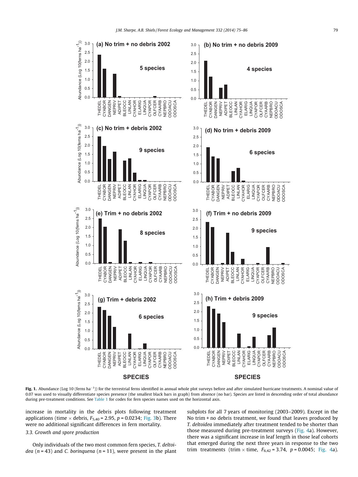<span id="page-5-0"></span>

Fig. 1. Abundance (Log 10 (ferns ha<sup>-1</sup>)) for the terrestrial ferns identified in annual whole plot surveys before and after simulated hurricane treatments. A nominal value of 0.07 was used to visually differentiate species presence (the smallest black bars in graph) from absence (no bar). Species are listed in descending order of total abundance during pre-treatment conditions. See [Table 1](#page-4-0) for codes for fern species names used on the horizontal axis.

increase in mortality in the debris plots following treatment applications (time  $\times$  debris,  $F_{5,40}$  = 2.95, p = 0.0234; [Fig. 3b](#page-6-0)). There were no additional significant differences in fern mortality.

# 3.3. Growth and spore production

Only individuals of the two most common fern species, T. deltoidea ( $n = 43$ ) and C. borinquena ( $n = 11$ ), were present in the plant subplots for all 7 years of monitoring (2003–2009). Except in the No trim + no debris treatment, we found that leaves produced by T. deltoidea immediately after treatment tended to be shorter than those measured during pre-treatment surveys ([Fig. 4a](#page-7-0)). However, there was a significant increase in leaf length in those leaf cohorts that emerged during the next three years in response to the two trim treatments (trim  $\times$  time,  $F_{6,42} = 3.74$ ,  $p = 0.0045$ ; [Fig. 4](#page-7-0)a).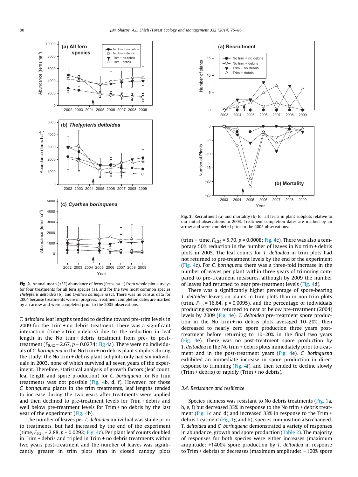<span id="page-6-0"></span>

Fig. 2. Annual mean ( $\pm$ SE) abundance of ferns (ferns ha<sup>-1</sup>) from whole plot surveys for four treatments for all fern species (a), and for the two most common species Thelypteris deltoidea (b), and Cyathea borinquena (c). There was no census data for 2004 because treatments were in progress. Treatment completion dates are marked by an arrow and were completed prior to the 2005 observations.

T. deltoidea leaf lengths tended to decline toward pre-trim levels in 2009 for the Trim + no debris treatment. There was a significant interaction (time  $\times$  trim  $\times$  debris) due to the reduction in leaf length in the No trim + debris treatment from pre- to posttreatment ( $F_{6,42}$  = 2.67, p = 0.0274; [Fig 4a](#page-7-0)). There were no individuals of C. borinquena in the No trim + no debris plant subplots during the study; the No trim + debris plant subplots only had six individuals in 2003, none of which survived all seven years of the experiment. Therefore, statistical analysis of growth factors (leaf count, leaf length and spore production) for C. borinquena for No trim treatments was not possible [\(Fig. 4b](#page-7-0), d, f). However, for those C. borinquena plants in the trim treatments, leaf lengths tended to increase during the two years after treatments were applied and then declined to pre-treatment levels for Trim + debris and well below pre-treatment levels for Trim + no debris by the last year of the experiment ([Fig. 4](#page-7-0)b).

The number of leaves per T. deltoidea individual was stable prior to treatments, but had increased by the end of the experiment (time,  $F_{6,24}$  = 2.88, p = 0.0292; [Fig. 4](#page-7-0)c). Per plant leaf counts doubled in Trim + debris and tripled in Trim + no debris treatments within two years post-treatment and the number of leaves was significantly greater in trim plots than in closed canopy plots



Fig. 3. Recruitment (a) and mortality (b) for all ferns in plant subplots relative to our initial observations in 2003. Treatment completion dates are marked by an arrow and were completed prior to the 2005 observations.

(trim  $\times$  time,  $F_{6,24}$  = 5.70, p = 0.0008; [Fig. 4](#page-7-0)c). There was also a temporary 50% reduction in the number of leaves in No trim + debris plots in 2005. The leaf counts for T. deltoidea in trim plots had not returned to pre-treatment levels by the end of the experiment ([Fig. 4c](#page-7-0)). For C. borinquena there was a three-fold increase in the number of leaves per plant within three years of trimming compared to pre-treatment measures, although by 2009 the number of leaves had returned to near pre-treatment levels [\(Fig. 4d](#page-7-0)).

There was a significantly higher percentage of spore-bearing T. deltoidea leaves on plants in trim plots than in non-trim plots (trim,  $F_{1,5}$  = 16.64,  $p$  = 0.0095), and the percentage of individuals producing spores returned to near or below pre-treatment (2004) levels by 2009 ([Fig. 4e](#page-7-0)). T. deltoidea pre-treatment spore production in the No trim + no debris plots averaged 10–20%, then decreased to nearly zero spore production three years posttreatment before returning to 10–20% in the final two years ([Fig. 4](#page-7-0)e). There was no post-treatment spore production by T. deltoidea in the No trim + debris plots immediately prior to treat-ment and in the post-treatment years ([Fig. 4e](#page-7-0)). C. borinquena exhibited an immediate increase in spore production in direct response to trimming [\(Fig. 4](#page-7-0)f), and then tended to decline slowly (Trim + debris) or rapidly (Trim + no debris).

## 3.4. Resistance and resilience

Species richness was resistant to No debris treatments [\(Fig. 1a](#page-5-0), b, e, f) but decreased 33% in response to the No trim + debris treat-ment [\(Fig. 1](#page-5-0)c and d) and increased 33% in response to the Trim + debris treatment ([Fig. 1](#page-5-0)g and h); species composition also changed. T. deltoidea and C. borinquena demonstrated a variety of responses in abundance, growth and spore production ([Table 2\)](#page-8-0). The majority of responses for both species were either increases (maximum amplitude: +1400% spore production by T. deltoidea in response to Trim + debris) or decreases (maximum amplitude:  $-100\%$  spore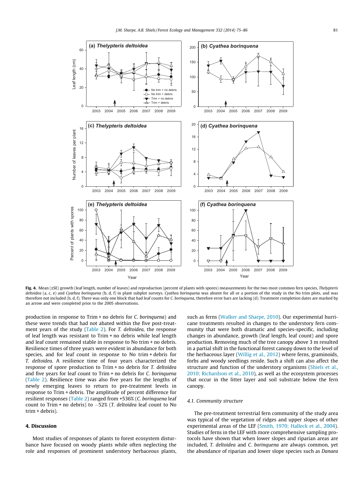<span id="page-7-0"></span>

Fig. 4. Mean (±SE) growth (leaf length, number of leaves) and reproduction (percent of plants with spores) measurements for the two most common fern species, Thelypteris deltoidea (a, c, e) and Cyathea borinquena (b, d, f) in plant subplot surveys. Cyathea borinquena was absent for all or a portion of the study in the No trim plots, and was therefore not included (b, d, f). There was only one block that had leaf counts for C. borinquena, therefore error bars are lacking (d). Treatment completion dates are marked by an arrow and were completed prior to the 2005 observations.

production in response to Trim + no debris for C. borinquena) and these were trends that had not abated within the five post-treatment years of the study ([Table 2](#page-8-0)). For T. deltoidea, the response of leaf length was resistant to Trim + no debris while leaf length and leaf count remained stable in response to No trim + no debris. Resilience times of three years were evident in abundance for both species, and for leaf count in response to No trim + debris for T. deltoidea. A resilience time of four years characterized the response of spore production to Trim + no debris for T. deltoidea and five years for leaf count to Trim + no debris for C. borinquena ([Table 2](#page-8-0)). Resilience time was also five years for the lengths of newly emerging leaves to return to pre-treatment levels in response to Trim + debris. The amplitude of percent difference for resilient responses ([Table 2](#page-8-0)) ranged from +536% (C. borinquena leaf count to Trim + no debris) to -52% (T. deltoidea leaf count to No trim + debris).

# 4. Discussion

Most studies of responses of plants to forest ecosystem disturbance have focused on woody plants while often neglecting the role and responses of prominent understory herbaceous plants, such as ferns ([Walker and Sharpe, 2010\)](#page-11-0). Our experimental hurricane treatments resulted in changes to the understory fern community that were both dramatic and species-specific, including changes in abundance, growth (leaf length, leaf count) and spore production. Removing much of the tree canopy above 3 m resulted in a partial shift in the functional forest canopy down to the level of the herbaceous layer [\(Willig et al., 2012](#page-12-0)) where ferns, graminoids, forbs and woody seedlings reside. Such a shift can also affect the structure and function of the understory organisms [\(Shiels et al.,](#page-11-0) [2010; Richardson et al., 2010](#page-11-0)), as well as the ecosystem processes that occur in the litter layer and soil substrate below the fern canopy.

### 4.1. Community structure

The pre-treatment terrestrial fern community of the study area was typical of the vegetation of ridges and upper slopes of other experimental areas of the LEF ([Smith, 1970; Halleck et al., 2004\)](#page-11-0). Studies of ferns in the LEF with more comprehensive sampling protocols have shown that when lower slopes and riparian areas are included, T. deltoidea and C. borinquena are always common, yet the abundance of riparian and lower slope species such as Danaea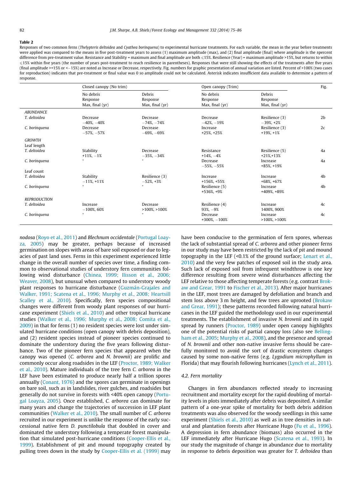#### <span id="page-8-0"></span>Table 2

Responses of two common ferns (Thelypteris deltoidea and Cyathea borinquena) to experimental hurricane treatments. For each variable, the mean in the year before treatments were applied was compared to the means in five post-treatment years to assess (1) maximum amplitude (max), and (2) final amplitude (final) where amplitude is the ±percent difference from pre-treatment value. Resistance and Stability = maximum and final amplitude are both  $\leq 15\%$ . Resilience (Year) = maximum amplitude >15%, but returns to within 615% within five years (the number of years post-treatment to reach resilience in parentheses). Responses that were still showing the effects of the treatments after five years (final amplitude >+15% or <-15%) are noted as Increase or Decrease, respectively. Fig. numbers for graphic presentation of annual variation are listed. Percent of >100% (two cases for reproduction) indicates that pre-treatment or final value was 0 so amplitude could not be calculated. Asterisk indicates insufficient data available to determine a pattern of response.

|                              | Closed canopy (No trim)                  |                                       | Open canopy (Trim)                       |                                         | Fig.           |
|------------------------------|------------------------------------------|---------------------------------------|------------------------------------------|-----------------------------------------|----------------|
|                              | No debris<br>Response<br>Max, final (yr) | Debris<br>Response<br>Max, final (yr) | No debris<br>Response<br>Max, final (yr) | Debris<br>Response<br>Max, final $(yr)$ |                |
| <b>ABUNDANCE</b>             |                                          |                                       |                                          |                                         |                |
| T. deltoidea                 | Decrease<br>$-40\%,-40\%$                | Decrease<br>$-74\%$ , $-74\%$         | Decrease<br>$-42\%,-19\%$                | Resilience (3)<br>$-39\%$ , $+2\%$      | 2 <sub>b</sub> |
| C. borinquena                | Decrease<br>$-57\%,-57\%$                | Decrease<br>$-69%,-69%$               | Increase<br>$+25\%, +25\%$               | Resilience (3)<br>$+19\%, +1\%$         | 2c             |
| <b>GROWTH</b><br>Leaf length |                                          |                                       |                                          |                                         |                |
| T. deltoidea                 | Stability<br>$+11\%, -1\%$               | Decrease<br>$-35\%,-34\%$             | Resistance<br>$+14\% -4\%$               | Resilience (5)<br>$+21\% + 13\%$        | 4a             |
| C. borinquena                | ×.                                       |                                       | Decrease<br>$-55\%,-55\%$                | Increase<br>$+85\%, +19\%$              | 4a             |
| Leaf count                   |                                          |                                       |                                          |                                         |                |
| T. deltoidea                 | Stability<br>$-11\%, +11\%$              | Resilience (3)<br>$-52\%$ , $+3\%$    | Increase<br>$+156\%, +55\%$              | Increase<br>$+68\% + 67\%$              | 4 <sub>b</sub> |
| C. boringuena                | $\ast$                                   | $\mathbf{R}$                          | Resilience (5)<br>$+536\%, +9\%$         | Increase<br>+409%, +89%                 | 4 <sub>b</sub> |
| <b>REPRODUCTION</b>          |                                          |                                       |                                          |                                         |                |
| T. deltoidea                 | Increase<br>$-100\%$ , 60%               | Decrease<br>$>100\%$ , $>100\%$       | Resilience (4)<br>$93\%,-9\%$            | Increase<br>1400%, 900%                 | 4c             |
| C. borinquena                | $\ast$                                   | $\ast$                                | Decrease<br>$+300\%$ . $-100\%$          | Increase<br>$>100\%$ , $>100\%$         | 4c             |

nodosa [\(Royo et al., 2011](#page-11-0)) and Blechnum occidentale [\(Portugal Loay](#page-11-0)[za, 2005\)](#page-11-0) may be greater, perhaps because of increased germination on slopes with areas of bare soil exposed or due to legacies of past land uses. Ferns in this experiment experienced little change in the overall number of species over time, a finding common to observational studies of understory fern communities following wind disturbance [\(Chinea, 1999; Ilisson et al., 2006;](#page-10-0) [Weaver, 2008\)](#page-10-0), but unusual when compared to understory woody plant responses to hurricane disturbance [\(Guzmán-Grajales and](#page-11-0) [Walker, 1991; Scatena et al., 1996; Murphy et al., 2008; Heartsill](#page-11-0) [Scalley et al., 2010](#page-11-0)). Specifically, fern species compositional changes were different from woody plant responses of our hurricane experiment [\(Shiels et al., 2010\)](#page-11-0) and other tropical hurricane studies [\(Walker et al., 1996; Murphy et al., 2008; Comita et al.,](#page-12-0) [2009\)](#page-12-0) in that for ferns (1) no resident species were lost under simulated hurricane conditions (open canopy with debris deposition), and (2) resident species instead of pioneer species continued to dominate the understory during the five years following disturbance. Two of the pioneer fern species that appeared when the canopy was opened (C. arborea and N. brownii) are prolific and commonly occur along roadsides in the LEF ([Proctor, 1989; Walker](#page-11-0) [et al., 2010\)](#page-11-0). Mature individuals of the tree fern C. arborea in the LEF have been estimated to produce nearly half a trillion spores annually ([Conant, 1976\)](#page-11-0) and the spores can germinate in openings on bare soil, such as in landslides, river gulches, and roadsides but generally do not survive in forests with <40% open canopy ([Portu](#page-11-0)[gal Loayza, 2005](#page-11-0)). Once established, C. arborea can dominate for many years and change the trajectories of succession in LEF plant communities ([Walker et al., 2010\)](#page-12-0). The small number of C. arborea recruited in our experiment is unlike the response of the early successional native fern D. punctilobula that doubled in cover and dominated the understory following a temperate forest manipulation that simulated post-hurricane conditions [\(Cooper-Ellis et al.,](#page-11-0) [1999\)](#page-11-0). Establishment of pit and mound topography created by pulling trees down in the study by [Cooper-Ellis et al. \(1999\)](#page-11-0) may

have been conducive to the germination of fern spores, whereas the lack of substantial spread of C. arborea and other pioneer ferns in our study may have been restricted by the lack of pit and mound topography in the LEF (<0.1% of the ground surface; [Lenart et al.,](#page-11-0) [2010\)](#page-11-0) and the very few patches of exposed soil in the study area. Such lack of exposed soil from infrequent windthrow is one key difference resulting from severe wind disturbances affecting the LEF relative to those affecting temperate forests (e.g. contrast [Brok](#page-10-0)[aw and Grear, 1991](#page-10-0) to [Fischer et al., 2013\)](#page-11-0). After major hurricanes in the LEF, most trees are damaged by defoliation and branch and stem loss above 3 m height, and few trees are uprooted [\(Brokaw](#page-10-0) [and Grear, 1991](#page-10-0)); these patterns recorded following natural hurricanes in the LEF guided the methodology used in our experimental treatments. The establishment of invasive N. brownii and its rapid spread by runners ([Proctor, 1989](#page-11-0)) under open canopy highlights one of the potential risks of partial canopy loss (also see [Belling](#page-10-0)[ham et al., 2005](#page-10-0); [Murphy et al., 2008](#page-11-0)), and the presence and spread of N. brownii and other non-native invasive ferns should be carefully monitored to avoid the sort of drastic ecosystem changes caused by some non-native ferns (e.g. Lygodium microphyllum in Florida) that may flourish following hurricanes [\(Lynch et al., 2011\)](#page-11-0).

# 4.2. Fern mortality

Changes in fern abundances reflected steady to increasing recruitment and mortality except for the rapid doubling of mortality levels in plots immediately after debris was deposited. A similar pattern of a one-year spike of mortality for both debris addition treatments was also observed for the woody seedlings in this same experiment ([Shiels et al., 2010\)](#page-11-0) as well as in tree densities in natural and plantation forests after Hurricane Hugo [\(Fu et al., 1996\)](#page-11-0). A depression in fern abundance (biomass) also occurred in the LEF immediately after Hurricane Hugo [\(Scatena et al., 1993\)](#page-11-0). In our study the magnitude of change in abundance due to mortality in response to debris deposition was greater for T. deltoidea than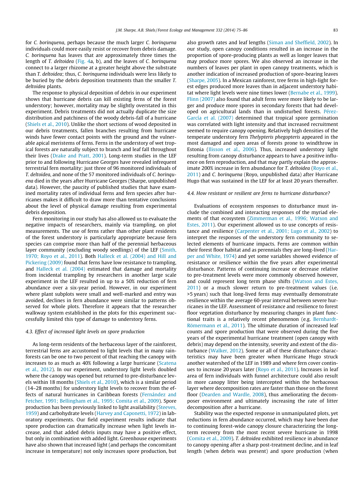for C. borinquena, perhaps because the much larger C. borinquena individuals could more easily resist or recover from debris damage. C. borinquena has leaves that are approximately three times the length of T. deltoidea [\(Fig. 4](#page-7-0)a, b), and the leaves of C. borinquena connect to a larger rhizome at a greater height above the substrate than T. deltoidea; thus, C. borinquena individuals were less likely to be buried by the debris deposition treatments than the smaller T. deltoidea plants.

The response to physical deposition of debris in our experiment shows that hurricane debris can kill existing ferns of the forest understory; however, mortality may be slightly overstated in this experiment. Debris treatments did not actually duplicate the size distribution and patchiness of the woody debris-fall of a hurricane ([Shiels et al., 2010](#page-11-0)). Unlike the short sections of wood deposited in our debris treatments, fallen branches resulting from hurricane winds have fewer contact points with the ground and the vulnerable apical meristems of ferns. Ferns in the understory of wet tropical forests are naturally subject to branch and leaf fall throughout their lives ([Drake and Pratt, 2001\)](#page-11-0). Long-term studies in the LEF prior to and following Hurricane Georges have revealed infrequent terrestrial fern mortality: just three of 96 monitored individuals of T. deltoidea, and none of the 57 monitored individuals of C. borinquena died in the years after Hurricane Georges (Sharpe, unpublished data). However, the paucity of published studies that have examined mortality rates of individual ferns and fern species after hurricanes makes it difficult to draw more than tentative conclusions about the level of physical damage resulting from experimental debris deposition.

Fern monitoring in our study has also allowed us to evaluate the negative impacts of researchers, mainly via trampling, on plot measurements. The use of ferns rather than other plant residents of the forest understory is particularly appropriate because fern species can comprise more than half of the perennial herbaceous layer community (excluding woody seedlings) of the LEF [\(Smith,](#page-11-0) [1970; Royo et al., 2011\)](#page-11-0). Both [Halleck et al. \(2004\) and Hill and](#page-11-0) [Pickering \(2009\)](#page-11-0) found that ferns have low resistance to trampling, and [Halleck et al. \(2004\)](#page-11-0) estimated that damage and mortality from incidental trampling by researchers in another large scale experiment in the LEF resulted in up to a 50% reduction of fern abundance over a six-year period. However, in our experiment where plant subplots were small and well-marked and entry was avoided, declines in fern abundance were similar to patterns observed for whole plots. Therefore it appears that the researcher walkway system established in the plots for this experiment successfully limited this type of damage to understory ferns.

#### 4.3. Effect of increased light levels on spore production

As long-term residents of the herbaceous layer of the rainforest, terrestrial ferns are accustomed to light levels that in many rainforests can be one to two percent of that reaching the canopy with increases to as much as 40% following a large hurricane ([Scatena](#page-11-0) [et al., 2012\)](#page-11-0). In our experiment, understory light levels doubled where the canopy was opened but returned to pre-disturbance levels within 18 months ([Shiels et al., 2010](#page-11-0)), which is a similar period (14–28 months) for understory light levels to recover from the effects of natural hurricanes in Caribbean forests [\(Fernández and](#page-11-0) [Fetcher, 1991; Bellingham et al., 1995; Comita et al., 2009\)](#page-11-0). Spore production has been previously linked to light availability ([Steeves,](#page-11-0) [1959\)](#page-11-0) and carbohydrate levels ([Harvey and Caponetti, 1972\)](#page-11-0) in laboratory experiments. Our field experiment results indicate that spore production can dramatically increase when light levels increase, and that added debris inputs may have a positive effect, but only in combination with added light. Greenhouse experiments have also shown that increased light (and perhaps the concomitant increase in temperature) not only increases spore production, but also growth rates and leaf lengths ([Siman and Sheffield, 2002](#page-11-0)). In our study, open canopy conditions resulted in an increase in the proportion of spore-producing plants as well as longer leaves that may produce more spores. We also observed an increase in the numbers of leaves per plant in open canopy treatments, which is another indication of increased production of spore-bearing leaves ([Sharpe, 2005](#page-11-0)). In a Mexican rainforest, tree ferns in high-light forest edges produced more leaves than in adjacent understory habitat where light levels were nine times lower [\(Bernabe et al., 1999\)](#page-10-0). [Flinn \(2007\)](#page-11-0) also found that adult ferns were more likely to be larger and produce more spores in secondary forests that had developed on agricultural lands than in undisturbed forests. [Pérez-](#page-11-0)[García et al. \(2007\)](#page-11-0) determined that tropical spore germination was correlated with light intensity and that increased recruitment seemed to require canopy opening. Relatively high densities of the temperate understory fern Thelypteris phegopteris appeared in the most damaged and open areas of forests prone to windthrow in Estonia [\(Ilisson et al., 2006](#page-11-0)). Thus, increased understory light resulting from canopy disturbance appears to have a positive influence on fern reproduction, and that may partly explain the approximate 200% increase in fern abundance for T. deltoidea [\(Royo et al.,](#page-11-0) [2011](#page-11-0)) and C. borinquena (Royo, unpublished data) after Hurricane Hugo that was sustained in the LEF for at least 20 years thereafter.

#### 4.4. How resistant or resilient are ferns to hurricane disturbance?

Evaluations of ecosystem responses to disturbance must include the combined and interacting responses of the myriad elements of that ecosystem ([Zimmerman et al., 1996; Watson and](#page-12-0) [Estes, 2011](#page-12-0)). Our experiment allowed us to use concepts of resistance and resilience ([Carpenter et al., 2001; Lugo et al., 2002\)](#page-10-0) to interpret the responses of the understory fern community to selected elements of hurricane impacts. Ferns are common within their forest floor habitat and as perennials they are long-lived ([Har](#page-11-0)[per and White, 1974](#page-11-0)) and yet some variables showed evidence of resistance or resilience within the five years after experimental disturbance. Patterns of continuing increase or decrease relative to pre-treatment levels were more commonly observed however, and could represent long term phase shifts [\(Watson and Estes,](#page-12-0) [2011](#page-12-0)) or a much slower return to pre-treatment values (i.e. >5 years) such that long-lived ferns may eventually demonstrate resilience within the average 60-year interval between severe hurricanes in the LEF. Assessment of resistance and resilience to forest floor vegetation disturbance by measuring changes in plant functional traits is a relatively recent phenomenon (e.g. [Bernhardt-](#page-10-0)[Römermann et al., 2011\)](#page-10-0). The ultimate duration of increased leaf counts and spore production that were observed during the five years of the experimental hurricane treatment (open canopy with debris) may depend on the intensity, severity and extent of the disturbance ([Walker, 2012](#page-11-0)). Some or all of these disturbance characteristics may have been greater when Hurricane Hugo struck another watershed of the LEF in 1989 and where fern cover continues to increase 20 years later [\(Royo et al., 2011](#page-11-0)). Increases in leaf area of fern individuals with funnel architecture could also result in more canopy litter being intercepted within the herbaceous layer where decomposition rates are faster than those on the forest floor [\(Dearden and Wardle, 2008](#page-11-0)), thus ameliorating the decomposer environment and ultimately increasing the rate of litter decomposition after a hurricane.

Stability was the expected response in unmanipulated plots, yet reductions in fern abundance occurred, which may have been due to continuing forest-wide canopy closure characterizing the longterm recovery from the most recent severe hurricane in 1998 ([Comita et al., 2009](#page-11-0)). T. deltoidea exhibited resilience in abundance to canopy opening after a sharp post-treatment decline, and in leaf length (when debris was present) and spore production (when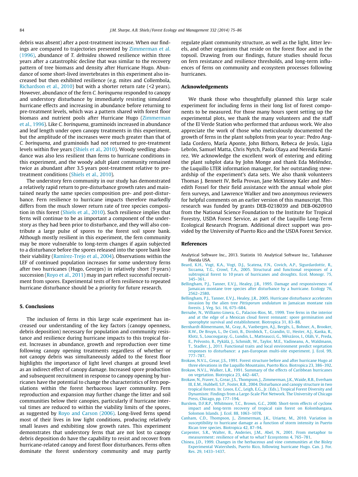<span id="page-10-0"></span>debris was absent) after a post-treatment increase. When our findings are compared to trajectories presented by [Zimmerman et al.](#page-12-0) [\(1996\),](#page-12-0) abundance of T. deltoidea showed resilience within three years after a catastrophic decline that was similar to the recovery pattern of tree biomass and density after Hurricane Hugo. Abundance of some short-lived invertebrates in this experiment also increased but then exhibited resilience (e.g. mites and Collembola, [Richardson et al., 2010](#page-11-0)) but with a shorter return rate (<2 years). However, abundance of the fern C. borinquena responded to canopy and understory disturbance by immediately resisting simulated hurricane effects and increasing in abundance before returning to pre-treatment levels, which was a pattern shared with forest floor biomass and nutrient pools after Hurricane Hugo [\(Zimmerman](#page-12-0) [et al., 1996\)](#page-12-0). Like C. borinquena, graminoids increased in abundance and leaf length under open canopy treatments in this experiment, but the amplitude of the increases were much greater than that of C. borinquena, and graminoids had not returned to pre-treatment levels within five years [\(Shiels et al., 2010](#page-11-0)). Woody seedling abundance was also less resilient than ferns to hurricane conditions in this experiment, and the woody adult plant community remained twice as abundant after 3.5 years post-treatment relative to pretreatment conditions [\(Shiels et al., 2010](#page-11-0)).

The understory fern community in our study has demonstrated a relatively rapid return to pre-disturbance growth rates and maintained nearly the same species composition pre- and post-disturbance. Fern resilience to hurricane impacts therefore markedly differs from the much slower return rate of tree species composition in this forest [\(Shiels et al., 2010](#page-11-0)). Such resilience implies that ferns will continue to be as important a component of the understory as they had been prior to disturbance, and they will also contribute a large pulse of spores to the forest soil spore bank. Although mostly resilient in this experiment, the fern community may be more vulnerable to long-term changes if again subjected to a disturbance before the spores released into the spore bank lose their viability [\(Ramírez-Trejo et al., 2004\)](#page-11-0). Observations within the LEF of continued population increases for some understory ferns after two hurricanes (Hugo, Georges) in relatively short (9 years) succession ([Royo et al., 2011](#page-11-0)) may in part reflect successful recruitment from spores. Experimental tests of fern resilience to repeated hurricane disturbance should be a priority for future research.

# 5. Conclusions

The inclusion of ferns in this large scale experiment has increased our understanding of the key factors (canopy openness, debris deposition) necessary for population and community resistance and resilience during hurricane impacts to this tropical forest. Increases in abundance, growth and reproduction over time following canopy opening treatments regardless of whether or not canopy debris was simultaneously added to the forest floor highlights the importance of light level changes at ground level as an indirect effect of canopy damage. Increased spore production and subsequent recruitment in response to canopy opening by hurricanes have the potential to change the characteristics of fern populations within the forest herbaceous layer community. Fern reproduction and expansion may further change the litter and soil communities below their canopies, particularly if hurricane interval times are reduced to within the viability limits of the spores, as suggested by [Royo and Carson \(2006\).](#page-11-0) Long-lived ferns spend most of their lives in low light conditions, producing relatively small leaves and exhibiting slow growth rates. This experiment demonstrates that understory ferns that are not lost to canopy debris deposition do have the capability to resist and recover from hurricane-related canopy and forest floor disturbances. Ferns often dominate the forest understory community and may partly regulate plant community structure, as well as the light, litter levels, and other organisms that reside on the forest floor and in the topsoil. Drawing from our findings, future studies should focus on fern resistance and resilience thresholds, and long-term influences of ferns on community and ecosystem processes following hurricanes.

#### Acknowledgements

We thank those who thoughtfully planned this large scale experiment for including ferns in their long list of forest components to be measured. For those many hours spent setting up the experimental plots, we thank the many volunteers and the staff of the El Verde Station who performed that arduous work. We also appreciate the work of those who meticulously documented the growth of ferns in the plant subplots from year to year: Pedro Anglada Cordero, María Aponte, John Bithorn, Rebeca de Jesús, Ligia Lebrón, Samuel Matta, Chris Nytch, Paola Olaya and Nereida Ramírez. We acknowledge the excellent work of entering and editing the plant subplot data by John Monge and thank Eda Meléndez, the Luquillo LTER information manager, for her outstanding stewardship of the experiment's data sets. We also thank volunteers Thomas J. Bennett IV, Bella Provan, Jane McKinney Kaler and Meredith Fossel for their field assistance with the annual whole plot fern surveys, and Lawrence Walker and two anonymous reviewers for helpful comments on an earlier version of this manuscript. This research was funded by grants DEB-0218039 and DEB-0620910 from the National Science Foundation to the Institute for Tropical Forestry, USDA Forest Service, as part of the Luquillo Long-Term Ecological Research Program. Additional direct support was provided by the University of Puerto Rico and the USDA Forest Service.

#### References

- Analytical Software Inc., 2013. Statistix 10. Analytical Software Inc., Tallahassee Florida USA.
- [Beard, K.H., Vogt, K.A., Vogt, D.J., Scatena, F.N., Covich, A.P., Sigurdardottir, R.,](http://refhub.elsevier.com/S0378-1127(14)00025-5/h0010) [Siccama, T.G., Crowl, T.A., 2005. Structural and functional responses of a](http://refhub.elsevier.com/S0378-1127(14)00025-5/h0010) [subtropical forest to 10 years of hurricanes and droughts. Ecol. Monogr. 75,](http://refhub.elsevier.com/S0378-1127(14)00025-5/h0010) [345–361](http://refhub.elsevier.com/S0378-1127(14)00025-5/h0010).
- [Bellingham, P.J., Tanner, E.V.J., Healey, J.R., 1995. Damage and responsiveness of](http://refhub.elsevier.com/S0378-1127(14)00025-5/h0015) [Jamaican montane tree species after disturbance by a hurricane. Ecology 76,](http://refhub.elsevier.com/S0378-1127(14)00025-5/h0015) [2562–2580.](http://refhub.elsevier.com/S0378-1127(14)00025-5/h0015)
- [Bellingham, P.J., Tanner, E.V.J., Healey, J.R., 2005. Hurricane disturbance accelerates](http://refhub.elsevier.com/S0378-1127(14)00025-5/h0020) invasion by the alien tree Pittisporum undulatum [in Jamaican montane rain](http://refhub.elsevier.com/S0378-1127(14)00025-5/h0020) [forests. J. Veg. Sci. 16, 675–684.](http://refhub.elsevier.com/S0378-1127(14)00025-5/h0020)
- [Bernabe, N., Williams-Linera, G., Palacios-Rios, M., 1999. Tree ferns in the interior](http://refhub.elsevier.com/S0378-1127(14)00025-5/h0025) [and at the edge of a Mexican cloud forest remnant: spore germination and](http://refhub.elsevier.com/S0378-1127(14)00025-5/h0025) [sporophyte survival and establishment. Biotropica 31, 83–88](http://refhub.elsevier.com/S0378-1127(14)00025-5/h0025).
- [Bernhardt-Römermann, M., Gray, A., Vanbergen, A.J., Bergès, L., Bohner, A., Brooker,](http://refhub.elsevier.com/S0378-1127(14)00025-5/h0030) [R.W., De Bruyn, L., De Cinti, B., Dirnböck, T., Grandin, U., Hester, A.J., Kanka, R.,](http://refhub.elsevier.com/S0378-1127(14)00025-5/h0030) [Klotz, S., Loucougaray, G., Lundin, L., Matteaucci, G., Mészáros, I., Oláh, V., Preda,](http://refhub.elsevier.com/S0378-1127(14)00025-5/h0030) [E., Prévosto, B., Pykälä, J., Schmidt, W., Taylor, M.E., Vadineanu, A., Waldmann,](http://refhub.elsevier.com/S0378-1127(14)00025-5/h0030) [T., Stadler, J., 2011. Functional traits and local environment predict vegetation](http://refhub.elsevier.com/S0378-1127(14)00025-5/h0030) [responses to disturbance: a pan-European multi-site experiment. J. Ecol. 99,](http://refhub.elsevier.com/S0378-1127(14)00025-5/h0030) [777–787](http://refhub.elsevier.com/S0378-1127(14)00025-5/h0030).
- [Brokaw, N.V.L., Grear, J.S., 1991. Forest structure before and after hurricane Hugo at](http://refhub.elsevier.com/S0378-1127(14)00025-5/h0035) [three elevations in the Luquillo Mountains, Puerto Rico. Biotropica 23, 386–392](http://refhub.elsevier.com/S0378-1127(14)00025-5/h0035).
- [Brokaw, N.V.L., Walker, L.R., 1991. Summary of the effects of Caribbean hurricanes](http://refhub.elsevier.com/S0378-1127(14)00025-5/h0040) [on vegetation. Biotropica 23, 442–447.](http://refhub.elsevier.com/S0378-1127(14)00025-5/h0040)
- [Brokaw, N., Fraver, S., Grear, J.S., Thompson, J., Zimmerman, J.K., Waide, R.B., Everham](http://refhub.elsevier.com/S0378-1127(14)00025-5/h0045) [III, E.M., Hubbell, S.P., Foster, R.B., 2004. Disturbance and canopy structure in two](http://refhub.elsevier.com/S0378-1127(14)00025-5/h0045) [tropical forests. In: Losos, E.C., Leigh, E.G., Jr. \(Eds.\), Tropical Forest Diversity and](http://refhub.elsevier.com/S0378-1127(14)00025-5/h0045) [Dynamism: Findings from a Large-Scale Plot Network. The University of Chicago](http://refhub.elsevier.com/S0378-1127(14)00025-5/h0045) [Press, Chicago, pp. 177–194.](http://refhub.elsevier.com/S0378-1127(14)00025-5/h0045)
- [Burslem, D.F.R.P., Whitmore, T.C., Brown, G.C., 2000. Short-term effects of cyclone](http://refhub.elsevier.com/S0378-1127(14)00025-5/h0050) [impact and long-term recovery of tropical rain forest on Kolombangara,](http://refhub.elsevier.com/S0378-1127(14)00025-5/h0050) [Solomon Islands. J. Ecol. 88, 1063–1078](http://refhub.elsevier.com/S0378-1127(14)00025-5/h0050).
- [Canham, C.D., Thompson, J., Zimmerman, J.K., Uriarte, M., 2010. Variation in](http://refhub.elsevier.com/S0378-1127(14)00025-5/h0055) [susceptibility to hurricane damage as a function of storm intensity in Puerto](http://refhub.elsevier.com/S0378-1127(14)00025-5/h0055) [Rican tree species. Biotropica 42, 87–94](http://refhub.elsevier.com/S0378-1127(14)00025-5/h0055).
- [Carpenter, S.R., Walter, B., Anderies, J.M., Abel, N., 2001. From metaphor to](http://refhub.elsevier.com/S0378-1127(14)00025-5/h0060) [measurement: resilience of what to what? Ecosystems 4, 765–781.](http://refhub.elsevier.com/S0378-1127(14)00025-5/h0060)
- [Chinea, J.D., 1999. Changes in the herbaceous and vine communities at the Bisley](http://refhub.elsevier.com/S0378-1127(14)00025-5/h0065) [Experimental Watersheds, Puerto Rico, following hurricane Hugo. Can. J. For.](http://refhub.elsevier.com/S0378-1127(14)00025-5/h0065) [Res. 29, 1433–1437](http://refhub.elsevier.com/S0378-1127(14)00025-5/h0065).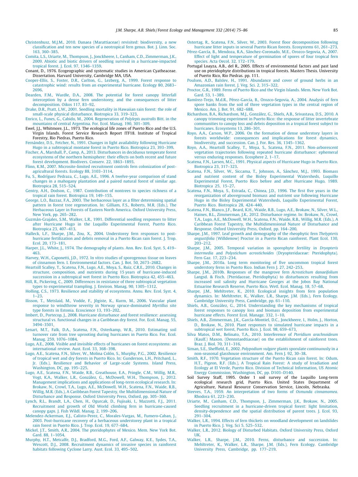- <span id="page-11-0"></span>[Christenhusz, M.J.M., 2010. Danaea \(Marattiaceae\) revisited: biodiversity, a new](http://refhub.elsevier.com/S0378-1127(14)00025-5/h0070) [classification and ten new species of a neotropical fern genus. Bot. J. Linn. Soc.](http://refhub.elsevier.com/S0378-1127(14)00025-5/h0070) [163, 360–385](http://refhub.elsevier.com/S0378-1127(14)00025-5/h0070).
- [Comita, L.S., Uriarte, M., Thompson, J., Jonckheere, I., Canham, C.D., Zimmerman, J.K.,](http://refhub.elsevier.com/S0378-1127(14)00025-5/h0075) [2009. Abiotic and biotic drivers of seedling survival in a hurricane-impacted](http://refhub.elsevier.com/S0378-1127(14)00025-5/h0075) [tropical forest. J. Ecol. 97, 1346–1359](http://refhub.elsevier.com/S0378-1127(14)00025-5/h0075).
- Conant, D., 1976. Ecogeographic and systematic studies in American Cyatheaceae. Dissertation. Harvard University, Cambridge MA, USA.
- [Cooper-Ellis, S., Foster, D.R., Carlton, G., Lezberg, A., 1999. Forest response to](http://refhub.elsevier.com/S0378-1127(14)00025-5/h0085) [catastrophic wind: results from an experimental hurricane. Ecology 80, 2683–](http://refhub.elsevier.com/S0378-1127(14)00025-5/h0085) [2696.](http://refhub.elsevier.com/S0378-1127(14)00025-5/h0085)
- [Dearden, F.M., Wardle, D.A., 2008. The potential for forest canopy litterfall](http://refhub.elsevier.com/S0378-1127(14)00025-5/h0090) [interception by a dense fern understorey, and the consequences of litter](http://refhub.elsevier.com/S0378-1127(14)00025-5/h0090) [decomposition. Oikos 117, 83–92](http://refhub.elsevier.com/S0378-1127(14)00025-5/h0090).
- [Drake, D.R., Pratt, L.W., 2001. Seedling mortality in Hawaiian rain forest: the role of](http://refhub.elsevier.com/S0378-1127(14)00025-5/h0095) [small-scale physical disturbance. Biotropica 33, 319–323.](http://refhub.elsevier.com/S0378-1127(14)00025-5/h0095)
- [Enrico, L., Funes, G., Cabido, M., 2004. Regeneration of](http://refhub.elsevier.com/S0378-1127(14)00025-5/h0100) Polylepis australis Bitt. in the [mountains of central Argentina. For. Ecol. Manag. 190, 301–309.](http://refhub.elsevier.com/S0378-1127(14)00025-5/h0100)
- Ewel, J.J., Whitmore, J.L., 1973. The ecological life zones of Puerto Rico and the U.S. Virgin Islands. Forest Service Research Report ITF18. Institute of Tropical Forestry, Rio Piedras, Puerto Rico.
- [Fernández, D.S., Fetcher, N., 1991. Changes in light availability following Hurricane](http://refhub.elsevier.com/S0378-1127(14)00025-5/h0110) [Hugo in a subtropical montane forest in Puerto Rico. Biotropica 23, 393–399](http://refhub.elsevier.com/S0378-1127(14)00025-5/h0110).
- [Fischer, A., Marshall, P., Camp, A., 2013. Disturbances in deciduous temperate forest](http://refhub.elsevier.com/S0378-1127(14)00025-5/h0115) [ecosystems of the northern hemisphere: their effects on both recent and future](http://refhub.elsevier.com/S0378-1127(14)00025-5/h0115) [forest development. Biodivers. Conserv. 22, 1863–1893](http://refhub.elsevier.com/S0378-1127(14)00025-5/h0115).
- [Flinn, K.M., 2007. Microsite-limited recruitment controls fern colonization of post](http://refhub.elsevier.com/S0378-1127(14)00025-5/h0120)[agricultural forests. Ecology 88, 3103–3114.](http://refhub.elsevier.com/S0378-1127(14)00025-5/h0120)
- [Fu, S., Rodríguez Pedraza, C., Lugo, A.E., 1996. A twelve-year comparison of stand](http://refhub.elsevier.com/S0378-1127(14)00025-5/h0125) [changes in a mahogany plantation and a paired natural forest of similar age.](http://refhub.elsevier.com/S0378-1127(14)00025-5/h0125) [Biotropica 28, 515–524](http://refhub.elsevier.com/S0378-1127(14)00025-5/h0125).
- [Gentry, A.H., Dodson, C., 1987. Contribution of nontrees to species richness of a](http://refhub.elsevier.com/S0378-1127(14)00025-5/h0130) [tropical rain forest. Biotropica 19, 149–155.](http://refhub.elsevier.com/S0378-1127(14)00025-5/h0130)
- [George, L.O., Bazzaz, F.A., 2003. The herbaceous layer as a filter determining spatial](http://refhub.elsevier.com/S0378-1127(14)00025-5/h0135) [pattern in forest tree regeneration. In: Gilliam, F.S., Roberts, M.R. \(Eds.\), The](http://refhub.elsevier.com/S0378-1127(14)00025-5/h0135) [Herbaceous Layer in Forests of Eastern North America. Oxford University Press,](http://refhub.elsevier.com/S0378-1127(14)00025-5/h0135) [New York, pp. 265–282](http://refhub.elsevier.com/S0378-1127(14)00025-5/h0135).
- [Guzmán-Grajales, S.M., Walker, L.R., 1991. Differential seedling responses to litter](http://refhub.elsevier.com/S0378-1127(14)00025-5/h0140) [after Hurricane Hugo in the Luquillo Experimental Forest, Puerto Rico.](http://refhub.elsevier.com/S0378-1127(14)00025-5/h0140) [Biotropica 23, 407–413](http://refhub.elsevier.com/S0378-1127(14)00025-5/h0140).
- [Halleck, L.F., Sharpe, J.M., Zou, X., 2004. Understorey fern responses to post](http://refhub.elsevier.com/S0378-1127(14)00025-5/h0145)[hurricane fertilization and debris removal in a Puerto Rican rain forest. J. Trop.](http://refhub.elsevier.com/S0378-1127(14)00025-5/h0145) [Ecol. 20, 173–181.](http://refhub.elsevier.com/S0378-1127(14)00025-5/h0145)
- [Harper, J.L., White, J., 1974. The demography of plants. Ann. Rev. Ecol. Syst. 5, 419–](http://refhub.elsevier.com/S0378-1127(14)00025-5/h0150) [463.](http://refhub.elsevier.com/S0378-1127(14)00025-5/h0150)
- [Harvey, W.H., Caponetti, J.D., 1972. In vitro studies of sporogenous tissue on leaves](http://refhub.elsevier.com/S0378-1127(14)00025-5/h0155) [of cinnamon fern. I. Environmental factors. Can. J. Bot. 50, 2673–2682](http://refhub.elsevier.com/S0378-1127(14)00025-5/h0155).
- [Heartsill Scalley, T., Scatena, F.N., Lugo, A.E., Moya, S., Ruiz, C.R.E., 2010. Changes in](http://refhub.elsevier.com/S0378-1127(14)00025-5/h0160) [structure, composition, and nutrients during 15 years of hurricane-induced](http://refhub.elsevier.com/S0378-1127(14)00025-5/h0160) [succession in a subtropical wet forest in Puerto Rico. Biotropica 42, 455–463.](http://refhub.elsevier.com/S0378-1127(14)00025-5/h0160)
- [Hill, R., Pickering, C., 2009. Differences in resistance of three subtropical vegetation](http://refhub.elsevier.com/S0378-1127(14)00025-5/h0165) [types to experimental trampling. J. Environ. Manag. 90, 1305–1312.](http://refhub.elsevier.com/S0378-1127(14)00025-5/h0165)
- [Holling, C.S., 1973. Resilience and stability of ecosystems. Annu. Rev. Ecol. Syst. 4,](http://refhub.elsevier.com/S0378-1127(14)00025-5/h0170) [1–23.](http://refhub.elsevier.com/S0378-1127(14)00025-5/h0170)
- [Ilisson, T., Metslaid, M., Vodde, F., Jõgiste, K., Kurm, M., 2006. Vascular plant](http://refhub.elsevier.com/S0378-1127(14)00025-5/h0175) [response to windthrow severity in Norway spruce-dominated](http://refhub.elsevier.com/S0378-1127(14)00025-5/h0175) Myrtillus site [type forests in Estonia. Ecoscience 13, 193–202.](http://refhub.elsevier.com/S0378-1127(14)00025-5/h0175)
- [Imbert, D., Portecop, J., 2008. Hurricane disturbance and forest resilience: assessing](http://refhub.elsevier.com/S0378-1127(14)00025-5/h0180) [structural vs. functional changes in a Caribbean dry forest. For. Ecol. Manag. 55,](http://refhub.elsevier.com/S0378-1127(14)00025-5/h0180) [3494–3501.](http://refhub.elsevier.com/S0378-1127(14)00025-5/h0180)
- [Lenart, M.T., Falk, D.A., Scatena, F.N., Osterkamp, W.R., 2010. Estimating soil](http://refhub.elsevier.com/S0378-1127(14)00025-5/h0185) [turnover rate from tree uprooting during hurricanes in Puerto Rico. For. Ecol.](http://refhub.elsevier.com/S0378-1127(14)00025-5/h0185) [Manag. 259, 1076–1084.](http://refhub.elsevier.com/S0378-1127(14)00025-5/h0185)
- [Lugo, A.E., 2008. Visible and invisible effects of hurricanes on forest ecosystems: an](http://refhub.elsevier.com/S0378-1127(14)00025-5/h0190) [international review. Aust. Ecol. 33, 368–398.](http://refhub.elsevier.com/S0378-1127(14)00025-5/h0190)
- [Lugo, A.E., Scatena, F.N., Silver, W., Molina Colón, S., Murphy, P.G., 2002. Resilience](http://refhub.elsevier.com/S0378-1127(14)00025-5/h0195) [of tropical wet and dry forests in Puerto Rico. In: Gunderson, L.H., Pritchard, L.,](http://refhub.elsevier.com/S0378-1127(14)00025-5/h0195) [Jr. \(Eds.\), Resilience and Behavior of Large-scale Systems. Island Press,](http://refhub.elsevier.com/S0378-1127(14)00025-5/h0195) [Washington, DC, pp. 195–225](http://refhub.elsevier.com/S0378-1127(14)00025-5/h0195).
- [Lugo, A.E., Scatena, F.N., Waide, R.B., Greathouse, E.A., Pringle, C.M., Willig, M.R.,](http://refhub.elsevier.com/S0378-1127(14)00025-5/h0200) [Vogt, K.A., Walker, L.R., González, G., McDowell, W.H., Thompson, J., 2012.](http://refhub.elsevier.com/S0378-1127(14)00025-5/h0200) [Management implications and applications of long-term ecological research. In:](http://refhub.elsevier.com/S0378-1127(14)00025-5/h0200) [Brokaw, N., Crowl, T.A., Lugo, A.E., McDowell, W.H., Scatena, F.N., Waide, R.B.,](http://refhub.elsevier.com/S0378-1127(14)00025-5/h0200) [Willig, M.R. \(Eds.\), A Caribbean Forest Tapestry, the Multidimensional Nature of](http://refhub.elsevier.com/S0378-1127(14)00025-5/h0200) [Disturbance and Response. Oxford University Press, Oxford, pp. 305–360](http://refhub.elsevier.com/S0378-1127(14)00025-5/h0200).
- [Lynch, R.L., Brandt, L.A., Chen, H., Ogurcak, D., Fujisaki, I., Mazzotti, F.J., 2011.](http://refhub.elsevier.com/S0378-1127(14)00025-5/h0205) [Recruitment and growth of Old World climbing fern in hurricane-caused](http://refhub.elsevier.com/S0378-1127(14)00025-5/h0205) [canopy gaps. J. Fish Wildl. Manag. 2, 199–206](http://refhub.elsevier.com/S0378-1127(14)00025-5/h0205).
- [Melendez-Ackerman, E.J., Calisto-Perez, C., Morales-Vargas, M., Fumero-Caban, J.,](http://refhub.elsevier.com/S0378-1127(14)00025-5/h0210) [2003. Post-hurricane recovery of a herbaceous understorey plant in a tropical](http://refhub.elsevier.com/S0378-1127(14)00025-5/h0210) [rain forest in Puerto Rico. J. Trop. Ecol. 19, 677–684](http://refhub.elsevier.com/S0378-1127(14)00025-5/h0210).
- [Mickel, J.T., Smith, A.R., 2004. The pteridophytes of Mexico. Mem. New York Bot.](http://refhub.elsevier.com/S0378-1127(14)00025-5/h0215) [Gard. 88, 1–1054.](http://refhub.elsevier.com/S0378-1127(14)00025-5/h0215)
- [Murphy, H.T., Metcalfe, D.J., Bradford, M.G., Ford, A.F., Galway, K.E., Sydes, T.A.,](http://refhub.elsevier.com/S0378-1127(14)00025-5/h0220) [Wescott, D.J., 2008. Recruitment dynamics of invasive species in rainforest](http://refhub.elsevier.com/S0378-1127(14)00025-5/h0220) [habitats following Cyclone Larry. Aust. Ecol. 33, 495–502](http://refhub.elsevier.com/S0378-1127(14)00025-5/h0220).

[Ostertag, R., Scatena, F.N., Silver, W., 2003. Forest floor decomposition following](http://refhub.elsevier.com/S0378-1127(14)00025-5/h0225) [hurricane litter inputs in several Puerto Rican forests. Ecosystems 61, 261–273.](http://refhub.elsevier.com/S0378-1127(14)00025-5/h0225)

- [Pérez-García, B., Mendoza, R.A., Sánchez-Coronado, M.E., Orozco-Segovia, A., 2007.](http://refhub.elsevier.com/S0378-1127(14)00025-5/h0230) [Effect of light and temperature of germination of spores of four tropical fern](http://refhub.elsevier.com/S0378-1127(14)00025-5/h0230) species. Acta Oecol. 32, 172-179.
- Portugal Loayza, A.B., del R., 2005. Effects of environmental factors and past land use on pteridophyte distributions in tropical forests. Masters Thesis. University of Puerto Rico, Rio Piedras. pp. 111.
- [Poulsen, A.D., Balslev, H., 1991. Abundance and cover of ground herbs in an](http://refhub.elsevier.com/S0378-1127(14)00025-5/h0240) [Amazonian rain forest. J. Veg. Sci. 2, 315–322.](http://refhub.elsevier.com/S0378-1127(14)00025-5/h0240)
- [Proctor, G.R., 1989. Ferns of Puerto Rico and the Virgin Islands. Mem. New York Bot.](http://refhub.elsevier.com/S0378-1127(14)00025-5/h0245) [Gard. 53, 1–389](http://refhub.elsevier.com/S0378-1127(14)00025-5/h0245).
- [Ramírez-Trejo, M.d.R., Pérez-García, B., Orozco-Segovia, A., 2004. Analysis of fern](http://refhub.elsevier.com/S0378-1127(14)00025-5/h0250) [spore banks from the soil of three vegetation types in the central region of](http://refhub.elsevier.com/S0378-1127(14)00025-5/h0250) [Mexico. Am. J. Bot. 91, 682–688.](http://refhub.elsevier.com/S0378-1127(14)00025-5/h0250)
- [Richardson, B.A., Richardson, M.J., González, G., Shiels, A.B., Srivastava, D.S., 2010. A](http://refhub.elsevier.com/S0378-1127(14)00025-5/h0255) [canopy trimming experiment in Puerto Rico: the response of litter invertebrate](http://refhub.elsevier.com/S0378-1127(14)00025-5/h0255) [communities to canopy loss and debris deposition in a tropical forest subject to](http://refhub.elsevier.com/S0378-1127(14)00025-5/h0255) [hurricanes. Ecosystems 13, 286–301.](http://refhub.elsevier.com/S0378-1127(14)00025-5/h0255)
- [Royo, A.A., Carson, W.P., 2006. On the formation of dense understory layers in](http://refhub.elsevier.com/S0378-1127(14)00025-5/h0260) [forests worldwide: consequences and implications for forest dynamics,](http://refhub.elsevier.com/S0378-1127(14)00025-5/h0260) [biodiversity, and succession. Can. J. For. Res. 36, 1345–1362.](http://refhub.elsevier.com/S0378-1127(14)00025-5/h0260)
- [Royo, A.A., Heartsill Scalley, T., Moya, S., Scatena, F.N., 2011. Non-arborescent](http://refhub.elsevier.com/S0378-1127(14)00025-5/h0265) [vegetation trajectories following repeated hurricane disturbance: ephemeral](http://refhub.elsevier.com/S0378-1127(14)00025-5/h0265) [versus enduring responses. Ecosphere 2, 1–17.](http://refhub.elsevier.com/S0378-1127(14)00025-5/h0265)
- [Scatena, F.N., Larsen, M.C., 1991. Physical aspects of Hurricane Hugo in Puerto Rico.](http://refhub.elsevier.com/S0378-1127(14)00025-5/h0270) [Biotropica 23, 317–323](http://refhub.elsevier.com/S0378-1127(14)00025-5/h0270).
- [Scatena, F.N., Silver, W., Siccama, T., Johnson, A., Sánchez, M.J., 1993. Biomass](http://refhub.elsevier.com/S0378-1127(14)00025-5/h0275) [and nutrient content of the Bisley Experimental Watersheds, Luquillo](http://refhub.elsevier.com/S0378-1127(14)00025-5/h0275) [Experimental Forest, Puerto Rico before and after Hurricane Hugo, 1989.](http://refhub.elsevier.com/S0378-1127(14)00025-5/h0275) [Biotropica 25, 15–27.](http://refhub.elsevier.com/S0378-1127(14)00025-5/h0275)
- [Scatena, F.N., Moya, S., Estrada, C., Chinea, J.D., 1996. The first five years in the](http://refhub.elsevier.com/S0378-1127(14)00025-5/h0280) [reorganization of aboveground biomass and nutrient use following Hurricane](http://refhub.elsevier.com/S0378-1127(14)00025-5/h0280) [Hugo in the Bisley Experimental Watersheds, Luquillo Experimental Forest,](http://refhub.elsevier.com/S0378-1127(14)00025-5/h0280) [Puerto Rico. Biotropica 28, 424–440.](http://refhub.elsevier.com/S0378-1127(14)00025-5/h0280)
- [Scatena, F.N., Blanco, J.F., Beard, K.H., Waide, R.B., Lugo, A.E., Brokaw, N., Silver, W.L.,](http://refhub.elsevier.com/S0378-1127(14)00025-5/h0285) [Haines, B.L., Zimmerman, J.K., 2012. Disturbance regime. In: Brokaw, N., Crowl,](http://refhub.elsevier.com/S0378-1127(14)00025-5/h0285) [T.A., Lugo, A.E., McDowell, W.H., Scatena, F.N., Waide, R.B., Willig, M.R. \(Eds.\), A](http://refhub.elsevier.com/S0378-1127(14)00025-5/h0285) [Caribbean Forest Tapestry, the Multidimensional Nature of Disturbance and](http://refhub.elsevier.com/S0378-1127(14)00025-5/h0285) [Response. Oxford University Press, Oxford, pp. 164–200](http://refhub.elsevier.com/S0378-1127(14)00025-5/h0285).
- [Sharpe, J.M., 1997. Leaf growth and demography of the rheophytic fern](http://refhub.elsevier.com/S0378-1127(14)00025-5/h0290) Thelypteris angustifolia [\(Willdenow\) Proctor in a Puerto Rican rainforest. Plant Ecol. 130,](http://refhub.elsevier.com/S0378-1127(14)00025-5/h0290) [203–212](http://refhub.elsevier.com/S0378-1127(14)00025-5/h0290).
- [Sharpe, J.M., 2005. Temporal variation in sporophyte fertility in](http://refhub.elsevier.com/S0378-1127(14)00025-5/h0295) Dryopteris intermedia and Polystichum acrostichoides [\(Dryopteridaceae: Pteridophyta\).](http://refhub.elsevier.com/S0378-1127(14)00025-5/h0295) [Fern Gaz. 17, 223–234.](http://refhub.elsevier.com/S0378-1127(14)00025-5/h0295)
- [Sharpe, J.M., 2010a. Long term monitoring of five uncommon tropical forest](http://refhub.elsevier.com/S0378-1127(14)00025-5/h0300) [understory ferns in Puerto Rico. Indian Fern J. 27, 242–253](http://refhub.elsevier.com/S0378-1127(14)00025-5/h0300).
- [Sharpe, J.M., 2010b. Responses of the mangrove fern](http://refhub.elsevier.com/S0378-1127(14)00025-5/h0305) Acrostichum danaeifolium [Langsd. & Fisch. \(Pteridaceae, Pteridophyta\) to disturbances resulting from](http://refhub.elsevier.com/S0378-1127(14)00025-5/h0305) [increased soil salinity and Hurricane Georges at the Jobos Bay National](http://refhub.elsevier.com/S0378-1127(14)00025-5/h0305) [Estuarine Research Reserve, Puerto Rico. Wetl. Ecol. Manag. 18, 57–68.](http://refhub.elsevier.com/S0378-1127(14)00025-5/h0305)
- [Sharpe, J.M., Mehltreter, K., 2010. Ecological insights from fern population](http://refhub.elsevier.com/S0378-1127(14)00025-5/h0310) [dynamics. In: Mehltreter, K., Walker, L.R., Sharpe, J.M. \(Eds.\), Fern Ecology.](http://refhub.elsevier.com/S0378-1127(14)00025-5/h0310) [Cambridge University Press, Cambridge, pp. 61–110.](http://refhub.elsevier.com/S0378-1127(14)00025-5/h0310)
- [Shiels, A.B., González, G., 2014. Understanding the key mechanisms of tropical](http://refhub.elsevier.com/S0378-1127(14)00025-5/h1105) [forest responses to canopy loss and biomass deposition from experimental](http://refhub.elsevier.com/S0378-1127(14)00025-5/h1105) [hurricane effects. Forest Ecol. Manage. 332, 1–10.](http://refhub.elsevier.com/S0378-1127(14)00025-5/h1105)
- [Shiels, A.B., Zimmerman, J.K., García-Montiel, D.C., Jonckheere, I., Holm, J., Horton,](http://refhub.elsevier.com/S0378-1127(14)00025-5/h0320) [D., Brokaw, N., 2010. Plant responses to simulated hurricane impacts in a](http://refhub.elsevier.com/S0378-1127(14)00025-5/h0320) [subtropical wet forest, Puerto Rico. J. Ecol. 98, 659–673](http://refhub.elsevier.com/S0378-1127(14)00025-5/h0320).
- [Silva Matos, D.M., Belinato, T.A., 2010. Interference of](http://refhub.elsevier.com/S0378-1127(14)00025-5/h0325) Pteridium arachnoideum [\(Kaulf.\) Maxon. \(Dennstaedtiaceae\) on the establishment of rainforest trees.](http://refhub.elsevier.com/S0378-1127(14)00025-5/h0325) [Braz. J. Biol. 70, 311–316](http://refhub.elsevier.com/S0378-1127(14)00025-5/h0325).
- Siman, S.E., Sheffield, E., 2002. Polypodium vulgare [plants sporulate continuously in a](http://refhub.elsevier.com/S0378-1127(14)00025-5/h0330) [non-seasonal glasshouse environment. Am. Fern J. 92, 30–38.](http://refhub.elsevier.com/S0378-1127(14)00025-5/h0330)
- [Smith, R.F., 1970. Vegetation structure of the Puerto Rican rain forest. In: Odum,](http://refhub.elsevier.com/S0378-1127(14)00025-5/h0335) [H.T., Pigeon, R.F. \(Eds.\), A Tropical Rain Forest: A study of Irradiation and](http://refhub.elsevier.com/S0378-1127(14)00025-5/h0335) [Ecology at El Verde, Puerto Rico. Division of Technical Information, US Atomic](http://refhub.elsevier.com/S0378-1127(14)00025-5/h0335) [Energy Commission, Washington, DC, pp. D103–D140](http://refhub.elsevier.com/S0378-1127(14)00025-5/h0335). Soil Survey Staff, 1995. Order 1 soil survey of the Luquillo Long-term
- ecological research grid, Puerto Rico. United States Department of Agriculture, Natural Resource Conservation Service, Lincoln, Nebraska.
- [Steeves, T.A., 1959. An interpretation of two forms of](http://refhub.elsevier.com/S0378-1127(14)00025-5/h0345) Osmunda cinnamomea. [Rhodora 61, 223–230.](http://refhub.elsevier.com/S0378-1127(14)00025-5/h0345)
- [Uriarte, M., Canham, C.D., Thompson, J., Zimmerman, J.K., Brokaw, N., 2005.](http://refhub.elsevier.com/S0378-1127(14)00025-5/h0350) [Seedling recruitment in a hurricane-driven tropical forest: light limitation,](http://refhub.elsevier.com/S0378-1127(14)00025-5/h0350) [density-dependence and the spatial distribution of parent trees. J. Ecol. 93,](http://refhub.elsevier.com/S0378-1127(14)00025-5/h0350) [291–304](http://refhub.elsevier.com/S0378-1127(14)00025-5/h0350).
- [Walker, L.R., 1994. Effects of fern thickets on woodland development on landslides](http://refhub.elsevier.com/S0378-1127(14)00025-5/h0355) [in Puerto Rico. J. Veg. Sci 5, 525–532.](http://refhub.elsevier.com/S0378-1127(14)00025-5/h0355)
- [Walker, L.R., 2012. Biology of Disturbed Habitats. Oxford University Press, Oxford](http://refhub.elsevier.com/S0378-1127(14)00025-5/h0360) [UK](http://refhub.elsevier.com/S0378-1127(14)00025-5/h0360).
- [Walker, L.R., Sharpe, J.M., 2010. Ferns, disturbance and succession. In:](http://refhub.elsevier.com/S0378-1127(14)00025-5/h0365) [Mehltreter, K., Walker, L.R., Sharpe, J.M. \(Eds.\), Fern Ecology. Cambridge](http://refhub.elsevier.com/S0378-1127(14)00025-5/h0365) [University Press, Cambridge, pp. 177–219.](http://refhub.elsevier.com/S0378-1127(14)00025-5/h0365)